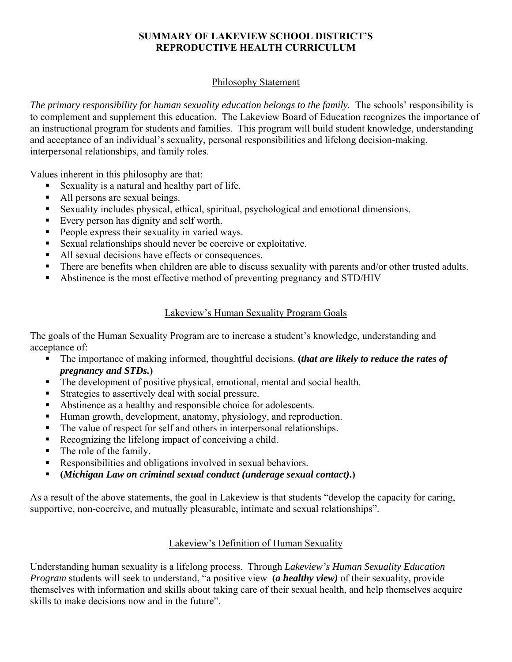#### **SUMMARY OF LAKEVIEW SCHOOL DISTRICT'S REPRODUCTIVE HEALTH CURRICULUM**

#### Philosophy Statement

The primary responsibility for human sexuality education belongs to the family. The schools' responsibility is to complement and supplement this education. The Lakeview Board of Education recognizes the importance of an instructional program for students and families. This program will build student knowledge, understanding and acceptance of an individual's sexuality, personal responsibilities and lifelong decision-making, interpersonal relationships, and family roles.

Values inherent in this philosophy are that:

- Sexuality is a natural and healthy part of life.
- All persons are sexual beings.
- Sexuality includes physical, ethical, spiritual, psychological and emotional dimensions.
- Every person has dignity and self worth.
- People express their sexuality in varied ways.
- Sexual relationships should never be coercive or exploitative.
- All sexual decisions have effects or consequences.
- There are benefits when children are able to discuss sexuality with parents and/or other trusted adults.
- Abstinence is the most effective method of preventing pregnancy and STD/HIV

#### Lakeview's Human Sexuality Program Goals

The goals of the Human Sexuality Program are to increase a student's knowledge, understanding and acceptance of:

- The importance of making informed, thoughtful decisions. **(***that are likely to reduce the rates of pregnancy and STDs.***)**
- The development of positive physical, emotional, mental and social health.
- Strategies to assertively deal with social pressure.
- Abstinence as a healthy and responsible choice for adolescents.
- Human growth, development, anatomy, physiology, and reproduction.
- The value of respect for self and others in interpersonal relationships.
- Recognizing the lifelong impact of conceiving a child.
- The role of the family.
- Responsibilities and obligations involved in sexual behaviors.
- **(***Michigan Law on criminal sexual conduct (underage sexual contact)***.)**

As a result of the above statements, the goal in Lakeview is that students "develop the capacity for caring, supportive, non-coercive, and mutually pleasurable, intimate and sexual relationships".

#### Lakeview's Definition of Human Sexuality

Understanding human sexuality is a lifelong process. Through *Lakeview's Human Sexuality Education Program* students will seek to understand, "a positive view **(***a healthy view)* of their sexuality, provide themselves with information and skills about taking care of their sexual health, and help themselves acquire skills to make decisions now and in the future".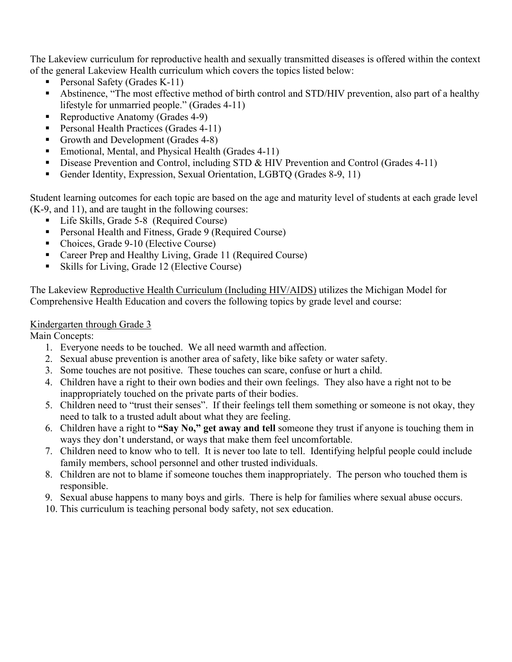The Lakeview curriculum for reproductive health and sexually transmitted diseases is offered within the context of the general Lakeview Health curriculum which covers the topics listed below:

- Personal Safety (Grades K-11)
- Abstinence, "The most effective method of birth control and STD/HIV prevention, also part of a healthy lifestyle for unmarried people." (Grades 4-11)
- Reproductive Anatomy (Grades 4-9)
- Personal Health Practices (Grades 4-11)
- Growth and Development (Grades 4-8)
- Emotional, Mental, and Physical Health (Grades 4-11)
- Disease Prevention and Control, including STD & HIV Prevention and Control (Grades 4-11)
- Gender Identity, Expression, Sexual Orientation, LGBTQ (Grades 8-9, 11)

Student learning outcomes for each topic are based on the age and maturity level of students at each grade level (K-9, and 11), and are taught in the following courses:

- Life Skills, Grade 5-8 (Required Course)
- **Personal Health and Fitness, Grade 9 (Required Course)**
- Choices, Grade 9-10 (Elective Course)
- Career Prep and Healthy Living, Grade 11 (Required Course)
- Skills for Living, Grade 12 (Elective Course)

The Lakeview Reproductive Health Curriculum (Including HIV/AIDS) utilizes the Michigan Model for Comprehensive Health Education and covers the following topics by grade level and course:

#### Kindergarten through Grade 3

Main Concepts:

- 1. Everyone needs to be touched. We all need warmth and affection.
- 2. Sexual abuse prevention is another area of safety, like bike safety or water safety.
- 3. Some touches are not positive. These touches can scare, confuse or hurt a child.
- 4. Children have a right to their own bodies and their own feelings. They also have a right not to be inappropriately touched on the private parts of their bodies.
- 5. Children need to "trust their senses". If their feelings tell them something or someone is not okay, they need to talk to a trusted adult about what they are feeling.
- 6. Children have a right to **"Say No," get away and tell** someone they trust if anyone is touching them in ways they don't understand, or ways that make them feel uncomfortable.
- 7. Children need to know who to tell. It is never too late to tell. Identifying helpful people could include family members, school personnel and other trusted individuals.
- 8. Children are not to blame if someone touches them inappropriately. The person who touched them is responsible.
- 9. Sexual abuse happens to many boys and girls. There is help for families where sexual abuse occurs.
- 10. This curriculum is teaching personal body safety, not sex education.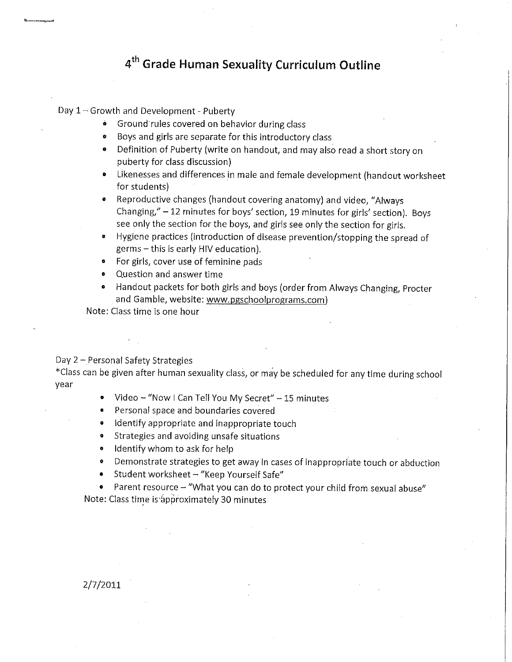### 4<sup>th</sup> Grade Human Sexuality Curriculum Outline

Day 1 - Growth and Development - Puberty

- Ground rules covered on behavior during class
- Boys and girls are separate for this introductory class
- Definition of Puberty (write on handout, and may also read a short story on puberty for class discussion)
- Likenesses and differences in male and female development (handout worksheet for students)
- Reproductive changes (handout covering anatomy) and video, "Always Changing," - 12 minutes for boys' section, 19 minutes for girls' section). Boys see only the section for the boys, and girls see only the section for girls.
- Hygiene practices (introduction of disease prevention/stopping the spread of germs - this is early HIV education).
- For girls, cover use of feminine pads
- Question and answer time
- Handout packets for both girls and boys (order from Always Changing, Procter and Gamble, website: www.pgschoolprograms.com)

Note: Class time is one hour

Day 2 - Personal Safety Strategies

\*Class can be given after human sexuality class, or may be scheduled for any time during school year

- Video "Now I Can Tell You My Secret" 15 minutes
- Personal space and boundaries covered
- Identify appropriate and inappropriate touch
- Strategies and avoiding unsafe situations
- Identify whom to ask for help
- Demonstrate strategies to get away in cases of inappropriate touch or abduction
- Student worksheet "Keep Yourself Safe"
- Parent resource "What you can do to protect your child from sexual abuse" Note: Class time is approximately 30 minutes

2/7/2011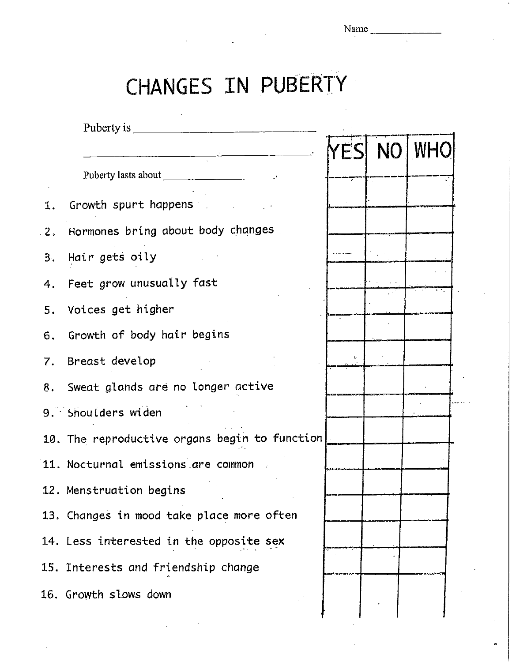# CHANGES IN PUBERTY

|       | Puberty is ______                                                                                               |  |                   |
|-------|-----------------------------------------------------------------------------------------------------------------|--|-------------------|
|       |                                                                                                                 |  | <b>YES NO WHO</b> |
|       | Puberty lasts about ________________________________.                                                           |  |                   |
| 1.    | Growth spurt happens and the set of the set of the set of the set of the set of the set of the set of the set o |  |                   |
| $-2.$ | Hormones bring about body changes                                                                               |  |                   |
|       | 3. Hair gets oily                                                                                               |  |                   |
| 4.    | Feet grow unusually fast                                                                                        |  |                   |
| 5.    | Voices get higher                                                                                               |  |                   |
|       | 6. Growth of body hair begins                                                                                   |  |                   |
|       | 7. Breast develop                                                                                               |  |                   |
|       | 8. Sweat glands are no longer active                                                                            |  |                   |
|       | 9. Shoulders widen                                                                                              |  |                   |
|       | 10. The reproductive organs begin to function                                                                   |  |                   |
|       | 11. Nocturnal emissions are common                                                                              |  |                   |
|       | 12. Menstruation begins                                                                                         |  |                   |
|       | 13. Changes in mood take place more often                                                                       |  |                   |
|       | 14. Less interested in the opposite sex                                                                         |  |                   |
|       | 15. Interests and friendship change                                                                             |  |                   |
|       | 16. Growth slows down                                                                                           |  |                   |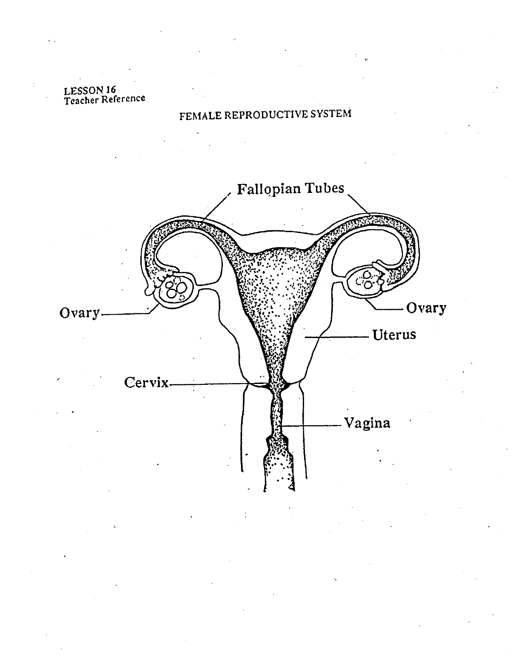## LESSON 16<br>Teacher Reference

## FEMALE REPRODUCTIVE SYSTEM

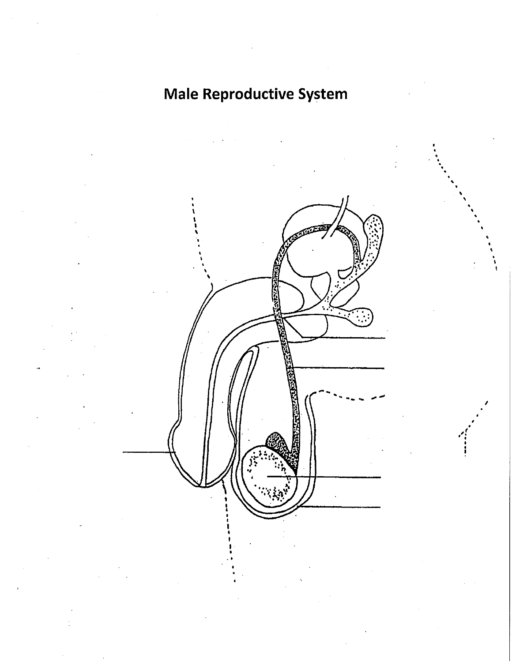## **Male Reproductive System**

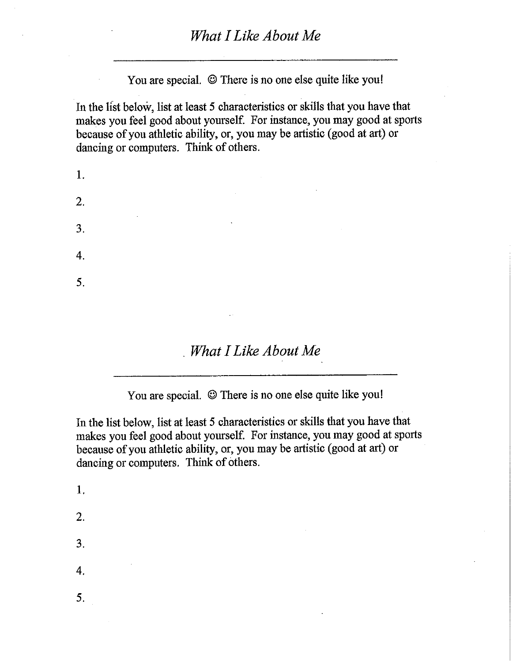You are special. © There is no one else quite like you!

In the list below, list at least 5 characteristics or skills that you have that makes you feel good about yourself. For instance, you may good at sports because of you athletic ability, or, you may be artistic (good at art) or dancing or computers. Think of others.

| 1.               |                               | the contract of the contract of the contract of the |                   |  |
|------------------|-------------------------------|-----------------------------------------------------|-------------------|--|
| $\overline{2}$ . |                               | the control of the state of the control of          | <b>Contractor</b> |  |
| 3.               | the control of the control of | $\sim$ 100 $\mu$                                    |                   |  |
| $\overline{4}$   |                               |                                                     |                   |  |
| 5.               |                               |                                                     |                   |  |
|                  |                               |                                                     |                   |  |

What I Like About Me

You are special. © There is no one else quite like you!

In the list below, list at least 5 characteristics or skills that you have that makes you feel good about yourself. For instance, you may good at sports because of you athletic ability, or, you may be artistic (good at art) or dancing or computers. Think of others.

1. 2.  $3.$ 4. 5.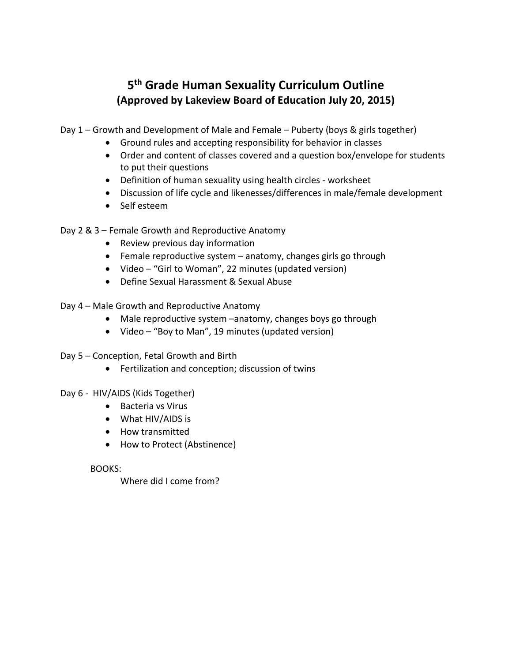### **5th Grade Human Sexuality Curriculum Outline (Approved by Lakeview Board of Education July 20, 2015)**

Day 1 – Growth and Development of Male and Female – Puberty (boys & girls together)

- Ground rules and accepting responsibility for behavior in classes
- Order and content of classes covered and a question box/envelope for students to put their questions
- Definition of human sexuality using health circles worksheet
- Discussion of life cycle and likenesses/differences in male/female development
- Self esteem

Day 2 & 3 – Female Growth and Reproductive Anatomy

- Review previous day information
- Female reproductive system anatomy, changes girls go through
- Video "Girl to Woman", 22 minutes (updated version)
- Define Sexual Harassment & Sexual Abuse
- Day 4 Male Growth and Reproductive Anatomy
	- Male reproductive system –anatomy, changes boys go through
	- Video "Boy to Man", 19 minutes (updated version)
- Day 5 Conception, Fetal Growth and Birth
	- Fertilization and conception; discussion of twins

#### Day 6 - HIV/AIDS (Kids Together)

- Bacteria vs Virus
- What HIV/AIDS is
- How transmitted
- How to Protect (Abstinence)

#### BOOKS:

Where did I come from?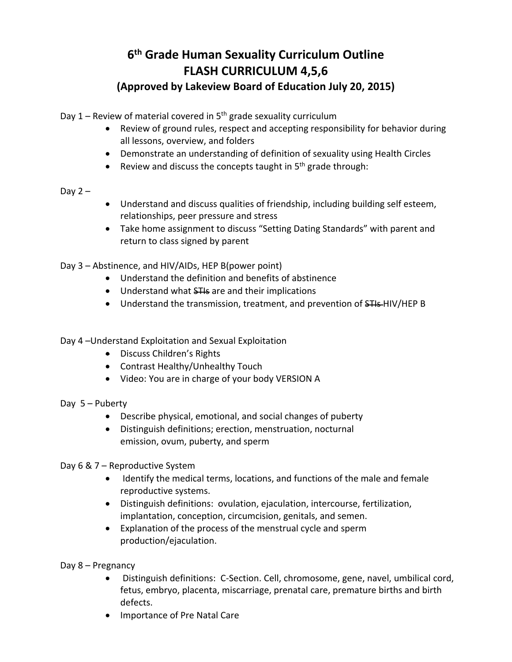## **6th Grade Human Sexuality Curriculum Outline FLASH CURRICULUM 4,5,6**

#### **(Approved by Lakeview Board of Education July 20, 2015)**

Day  $1$  – Review of material covered in  $5<sup>th</sup>$  grade sexuality curriculum

- Review of ground rules, respect and accepting responsibility for behavior during all lessons, overview, and folders
- Demonstrate an understanding of definition of sexuality using Health Circles
- Review and discuss the concepts taught in  $5<sup>th</sup>$  grade through:

#### Day  $2 -$

- Understand and discuss qualities of friendship, including building self esteem, relationships, peer pressure and stress
- Take home assignment to discuss "Setting Dating Standards" with parent and return to class signed by parent

Day 3 – Abstinence, and HIV/AIDs, HEP B(power point)

- Understand the definition and benefits of abstinence
- Understand what STIs are and their implications
- Understand the transmission, treatment, and prevention of STIS-HIV/HEP B

Day 4 –Understand Exploitation and Sexual Exploitation

- Discuss Children's Rights
- Contrast Healthy/Unhealthy Touch
- Video: You are in charge of your body VERSION A
- Day 5 Puberty
	- Describe physical, emotional, and social changes of puberty
	- Distinguish definitions; erection, menstruation, nocturnal emission, ovum, puberty, and sperm
- Day 6 & 7 Reproductive System
	- Identify the medical terms, locations, and functions of the male and female reproductive systems.
	- Distinguish definitions: ovulation, ejaculation, intercourse, fertilization, implantation, conception, circumcision, genitals, and semen.
	- Explanation of the process of the menstrual cycle and sperm production/ejaculation.

Day 8 – Pregnancy

- Distinguish definitions: C-Section. Cell, chromosome, gene, navel, umbilical cord, fetus, embryo, placenta, miscarriage, prenatal care, premature births and birth defects.
- Importance of Pre Natal Care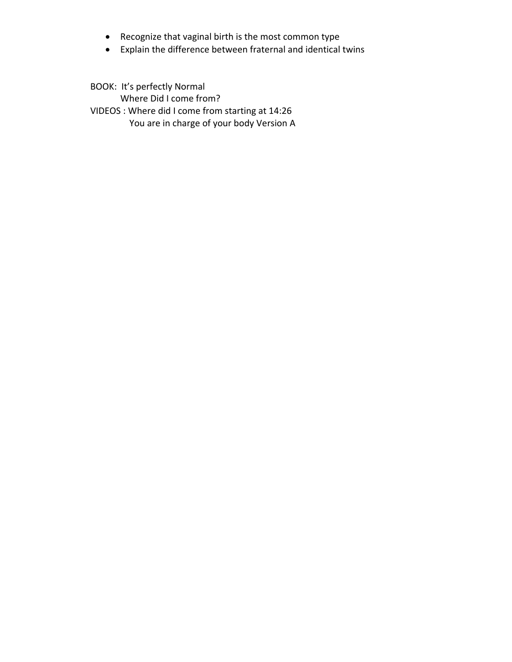- Recognize that vaginal birth is the most common type
- Explain the difference between fraternal and identical twins

BOOK: It's perfectly Normal Where Did I come from? VIDEOS : Where did I come from starting at 14:26 You are in charge of your body Version A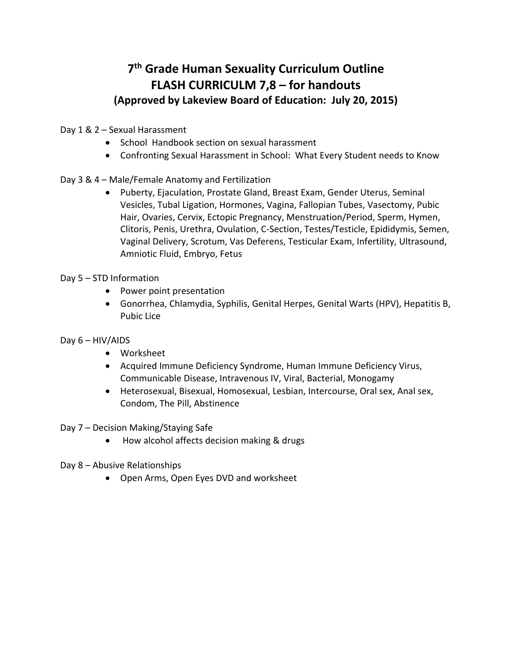## **7th Grade Human Sexuality Curriculum Outline FLASH CURRICULM 7,8 – for handouts (Approved by Lakeview Board of Education: July 20, 2015)**

Day 1 & 2 – Sexual Harassment

- School Handbook section on sexual harassment
- Confronting Sexual Harassment in School: What Every Student needs to Know
- Day 3 & 4 Male/Female Anatomy and Fertilization
	- Puberty, Ejaculation, Prostate Gland, Breast Exam, Gender Uterus, Seminal Vesicles, Tubal Ligation, Hormones, Vagina, Fallopian Tubes, Vasectomy, Pubic Hair, Ovaries, Cervix, Ectopic Pregnancy, Menstruation/Period, Sperm, Hymen, Clitoris, Penis, Urethra, Ovulation, C‐Section, Testes/Testicle, Epididymis, Semen, Vaginal Delivery, Scrotum, Vas Deferens, Testicular Exam, Infertility, Ultrasound, Amniotic Fluid, Embryo, Fetus
- Day 5 STD Information
	- Power point presentation
	- Gonorrhea, Chlamydia, Syphilis, Genital Herpes, Genital Warts (HPV), Hepatitis B, Pubic Lice
- Day 6 HIV/AIDS
	- Worksheet
	- Acquired Immune Deficiency Syndrome, Human Immune Deficiency Virus, Communicable Disease, Intravenous IV, Viral, Bacterial, Monogamy
	- Heterosexual, Bisexual, Homosexual, Lesbian, Intercourse, Oral sex, Anal sex, Condom, The Pill, Abstinence
- Day 7 Decision Making/Staying Safe
	- How alcohol affects decision making & drugs
- Day 8 Abusive Relationships
	- Open Arms, Open Eyes DVD and worksheet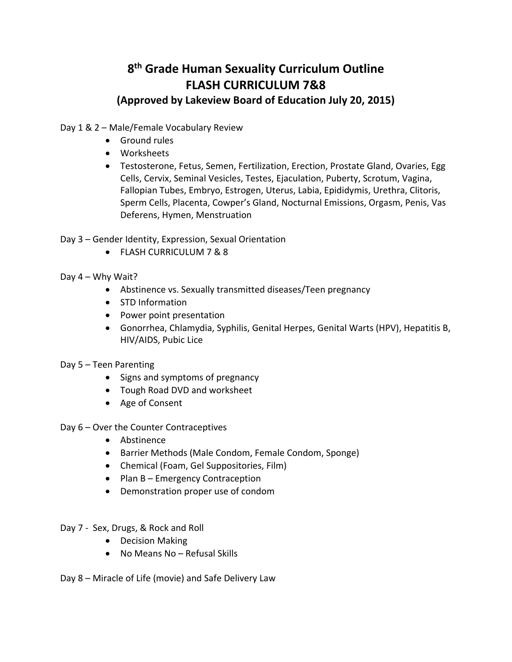## **8th Grade Human Sexuality Curriculum Outline FLASH CURRICULUM 7&8**

#### **(Approved by Lakeview Board of Education July 20, 2015)**

Day 1 & 2 – Male/Female Vocabulary Review

- **•** Ground rules
- Worksheets
- Testosterone, Fetus, Semen, Fertilization, Erection, Prostate Gland, Ovaries, Egg Cells, Cervix, Seminal Vesicles, Testes, Ejaculation, Puberty, Scrotum, Vagina, Fallopian Tubes, Embryo, Estrogen, Uterus, Labia, Epididymis, Urethra, Clitoris, Sperm Cells, Placenta, Cowper's Gland, Nocturnal Emissions, Orgasm, Penis, Vas Deferens, Hymen, Menstruation
- Day 3 Gender Identity, Expression, Sexual Orientation
	- FLASH CURRICULUM 7 & 8
- Day 4 Why Wait?
	- Abstinence vs. Sexually transmitted diseases/Teen pregnancy
	- STD Information
	- Power point presentation
	- Gonorrhea, Chlamydia, Syphilis, Genital Herpes, Genital Warts (HPV), Hepatitis B, HIV/AIDS, Pubic Lice
- Day 5 Teen Parenting
	- Signs and symptoms of pregnancy
	- Tough Road DVD and worksheet
	- Age of Consent
- Day 6 Over the Counter Contraceptives
	- Abstinence
	- Barrier Methods (Male Condom, Female Condom, Sponge)
	- Chemical (Foam, Gel Suppositories, Film)
	- Plan B Emergency Contraception
	- Demonstration proper use of condom
- Day 7 ‐ Sex, Drugs, & Rock and Roll
	- Decision Making
	- No Means No Refusal Skills
- Day 8 Miracle of Life (movie) and Safe Delivery Law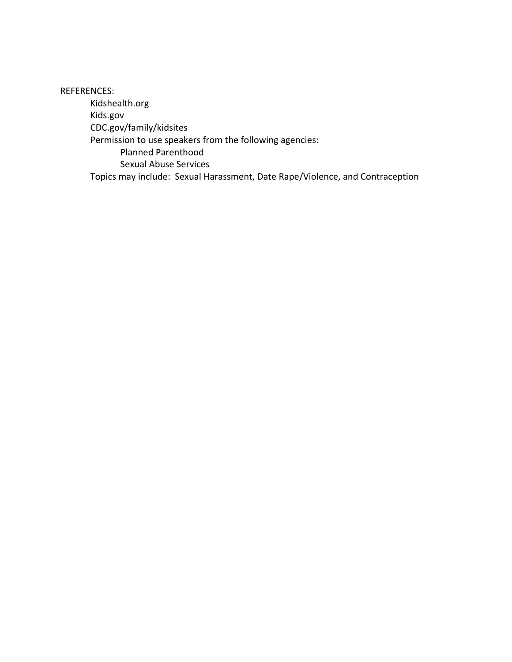REFERENCES:

Kidshealth.org Kids.gov CDC.gov/family/kidsites Permission to use speakers from the following agencies: Planned Parenthood Sexual Abuse Services Topics may include: Sexual Harassment, Date Rape/Violence, and Contraception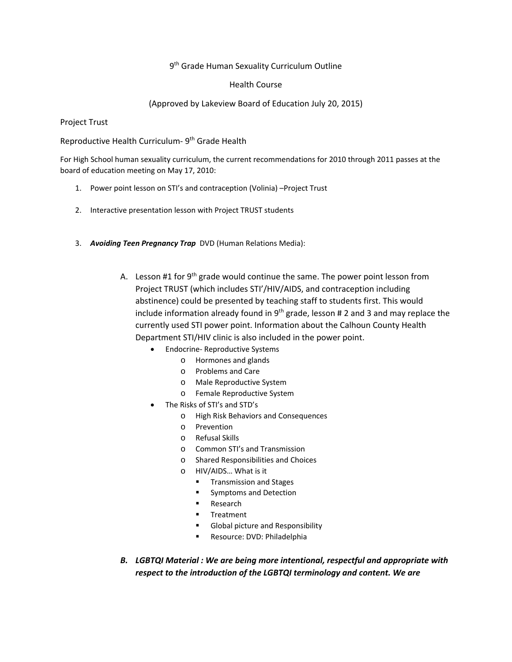#### 9<sup>th</sup> Grade Human Sexuality Curriculum Outline

#### Health Course

#### (Approved by Lakeview Board of Education July 20, 2015)

Project Trust

Reproductive Health Curriculum- 9<sup>th</sup> Grade Health

For High School human sexuality curriculum, the current recommendations for 2010 through 2011 passes at the board of education meeting on May 17, 2010:

- 1. Power point lesson on STI's and contraception (Volinia) –Project Trust
- 2. Interactive presentation lesson with Project TRUST students
- 3. *Avoiding Teen Pregnancy Trap* DVD (Human Relations Media):
	- A. Lesson #1 for  $9<sup>th</sup>$  grade would continue the same. The power point lesson from Project TRUST (which includes STI'/HIV/AIDS, and contraception including abstinence) could be presented by teaching staff to students first. This would include information already found in  $9<sup>th</sup>$  grade, lesson # 2 and 3 and may replace the currently used STI power point. Information about the Calhoun County Health Department STI/HIV clinic is also included in the power point.
		- Endocrine-Reproductive Systems
			- o Hormones and glands
			- o Problems and Care
			- o Male Reproductive System
			- o Female Reproductive System
		- The Risks of STI's and STD's
			- o High Risk Behaviors and Consequences
			- o Prevention
			- o Refusal Skills
			- o Common STI's and Transmission
			- o Shared Responsibilities and Choices
			- o HIV/AIDS… What is it
				- **Transmission and Stages**
				- **Symptoms and Detection**
				- Research
				- **Treatment**
				- Global picture and Responsibility
				- Resource: DVD: Philadelphia
	- *B. LGBTQI Material : We are being more intentional, respectful and appropriate with respect to the introduction of the LGBTQI terminology and content. We are*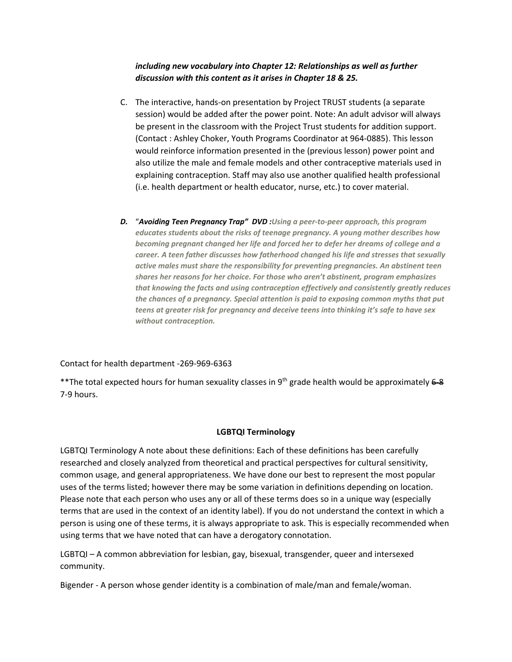#### *including new vocabulary into Chapter 12: Relationships as well as further discussion with this content as it arises in Chapter 18 & 25.*

- C. The interactive, hands‐on presentation by Project TRUST students (a separate session) would be added after the power point. Note: An adult advisor will always be present in the classroom with the Project Trust students for addition support. (Contact : Ashley Choker, Youth Programs Coordinator at 964‐0885). This lesson would reinforce information presented in the (previous lesson) power point and also utilize the male and female models and other contraceptive materials used in explaining contraception. Staff may also use another qualified health professional (i.e. health department or health educator, nurse, etc.) to cover material.
- *D.* "*Avoiding Teen Pregnancy Trap" DVD :Using a peer‐to‐peer approach, this program educates students about the risks of teenage pregnancy. A young mother describes how becoming pregnant changed her life and forced her to defer her dreams of college and a career. A teen father discusses how fatherhood changed his life and stresses that sexually active males must share the responsibility for preventing pregnancies. An abstinent teen shares her reasons for her choice. For those who aren't abstinent, program emphasizes that knowing the facts and using contraception effectively and consistently greatly reduces the chances of a pregnancy. Special attention is paid to exposing common myths that put teens at greater risk for pregnancy and deceive teens into thinking it's safe to have sex without contraception.*

Contact for health department ‐269‐969‐6363

\*\*The total expected hours for human sexuality classes in 9<sup>th</sup> grade health would be approximately 6-8 7‐9 hours.

#### **LGBTQI Terminology**

LGBTQI Terminology A note about these definitions: Each of these definitions has been carefully researched and closely analyzed from theoretical and practical perspectives for cultural sensitivity, common usage, and general appropriateness. We have done our best to represent the most popular uses of the terms listed; however there may be some variation in definitions depending on location. Please note that each person who uses any or all of these terms does so in a unique way (especially terms that are used in the context of an identity label). If you do not understand the context in which a person is using one of these terms, it is always appropriate to ask. This is especially recommended when using terms that we have noted that can have a derogatory connotation.

LGBTQI – A common abbreviation for lesbian, gay, bisexual, transgender, queer and intersexed community.

Bigender ‐ A person whose gender identity is a combination of male/man and female/woman.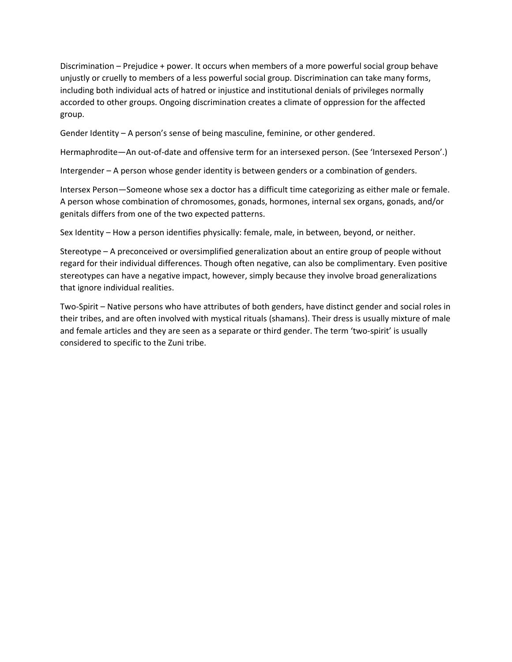Discrimination – Prejudice + power. It occurs when members of a more powerful social group behave unjustly or cruelly to members of a less powerful social group. Discrimination can take many forms, including both individual acts of hatred or injustice and institutional denials of privileges normally accorded to other groups. Ongoing discrimination creates a climate of oppression for the affected group.

Gender Identity – A person's sense of being masculine, feminine, or other gendered.

Hermaphrodite—An out-of-date and offensive term for an intersexed person. (See 'Intersexed Person'.)

Intergender – A person whose gender identity is between genders or a combination of genders.

Intersex Person—Someone whose sex a doctor has a difficult time categorizing as either male or female. A person whose combination of chromosomes, gonads, hormones, internal sex organs, gonads, and/or genitals differs from one of the two expected patterns.

Sex Identity – How a person identifies physically: female, male, in between, beyond, or neither.

Stereotype – A preconceived or oversimplified generalization about an entire group of people without regard for their individual differences. Though often negative, can also be complimentary. Even positive stereotypes can have a negative impact, however, simply because they involve broad generalizations that ignore individual realities.

Two‐Spirit – Native persons who have attributes of both genders, have distinct gender and social roles in their tribes, and are often involved with mystical rituals (shamans). Their dress is usually mixture of male and female articles and they are seen as a separate or third gender. The term 'two-spirit' is usually considered to specific to the Zuni tribe.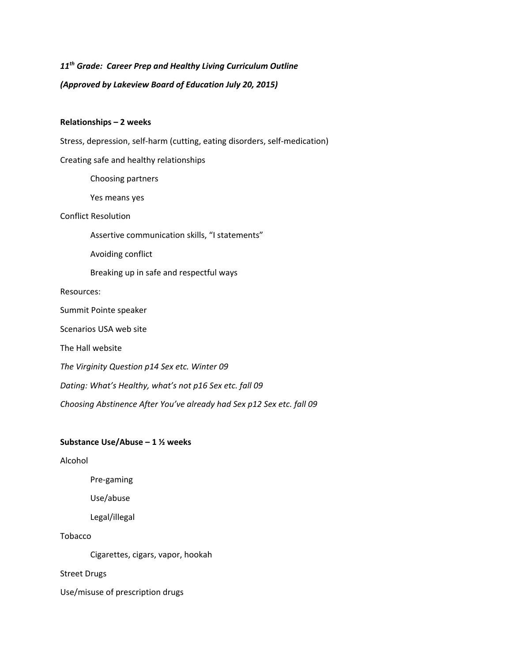*11th Grade: Career Prep and Healthy Living Curriculum Outline (Approved by Lakeview Board of Education July 20, 2015)*

#### **Relationships – 2 weeks**

Stress, depression, self‐harm (cutting, eating disorders, self‐medication)

Creating safe and healthy relationships

Choosing partners

Yes means yes

#### Conflict Resolution

Assertive communication skills, "I statements"

Avoiding conflict

Breaking up in safe and respectful ways

#### Resources:

Summit Pointe speaker

Scenarios USA web site

The Hall website

*The Virginity Question p14 Sex etc. Winter 09*

*Dating: What's Healthy, what's not p16 Sex etc. fall 09*

*Choosing Abstinence After You've already had Sex p12 Sex etc. fall 09*

#### **Substance Use/Abuse – 1 ½ weeks**

Alcohol

Pre‐gaming

Use/abuse

Legal/illegal

Tobacco

Cigarettes, cigars, vapor, hookah

Street Drugs

Use/misuse of prescription drugs